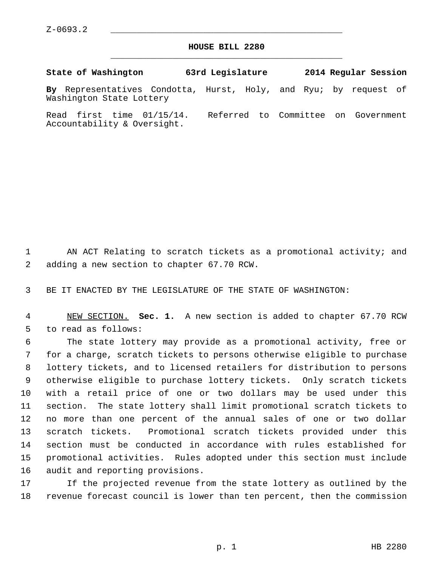$Z-0693.2$ 

## **HOUSE BILL 2280** \_\_\_\_\_\_\_\_\_\_\_\_\_\_\_\_\_\_\_\_\_\_\_\_\_\_\_\_\_\_\_\_\_\_\_\_\_\_\_\_\_\_\_\_\_

**State of Washington 63rd Legislature 2014 Regular Session**

**By** Representatives Condotta, Hurst, Holy, and Ryu; by request of Washington State Lottery

Read first time 01/15/14. Referred to Committee on Government Accountability & Oversight.

 1 AN ACT Relating to scratch tickets as a promotional activity; and 2 adding a new section to chapter 67.70 RCW.

3 BE IT ENACTED BY THE LEGISLATURE OF THE STATE OF WASHINGTON:

 4 NEW SECTION. **Sec. 1.** A new section is added to chapter 67.70 RCW 5 to read as follows:

 6 The state lottery may provide as a promotional activity, free or 7 for a charge, scratch tickets to persons otherwise eligible to purchase 8 lottery tickets, and to licensed retailers for distribution to persons 9 otherwise eligible to purchase lottery tickets. Only scratch tickets 10 with a retail price of one or two dollars may be used under this 11 section. The state lottery shall limit promotional scratch tickets to 12 no more than one percent of the annual sales of one or two dollar 13 scratch tickets. Promotional scratch tickets provided under this 14 section must be conducted in accordance with rules established for 15 promotional activities. Rules adopted under this section must include 16 audit and reporting provisions.

17 If the projected revenue from the state lottery as outlined by the 18 revenue forecast council is lower than ten percent, then the commission